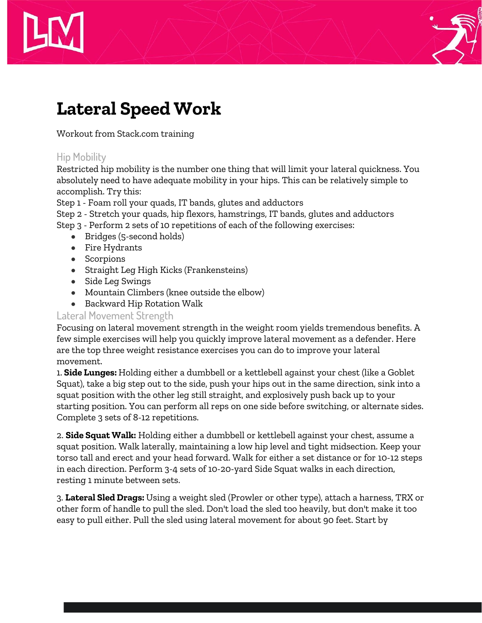



# **Lateral Speed Work**

Workout from Stack.com training

## Hip Mobility

Restricted hip mobility is the number one thing that will limit your lateral quickness. You absolutely need to have adequate mobility in your hips. This can be relatively simple to accomplish. Try this:

Step 1 - Foam roll your quads, IT bands, glutes and adductors

Step 2 - Stretch your quads, hip flexors, hamstrings, IT bands, glutes and adductors

Step 3 - Perform 2 sets of 10 repetitions of each of the following exercises:

- Bridges (5-second holds)
- Fire Hydrants
- Scorpions
- Straight Leg High Kicks (Frankensteins)
- Side Leg Swings
- Mountain Climbers (knee outside the elbow)
- Backward Hip Rotation Walk

#### Lateral Movement Strength

Focusing on lateral movement strength in the weight room yields tremendous benefits. A few simple exercises will help you quickly improve lateral movement as a defender. Here are the top three weight resistance exercises you can do to improve your lateral movement.

1. **Side Lunges:** Holding either a dumbbell or a kettlebell against your chest (like a Goblet Squat), take a big step out to the side, push your hips out in the same direction, sink into a squat position with the other leg still straight, and explosively push back up to your starting position. You can perform all reps on one side before switching, or alternate sides. Complete 3 sets of 8-12 repetitions.

2. **Side Squat Walk:** Holding either a dumbbell or kettlebell against your chest, assume a squat position. Walk laterally, maintaining a low hip level and tight midsection. Keep your torso tall and erect and your head forward. Walk for either a set distance or for 10-12 steps in each direction. Perform 3-4 sets of 10-20-yard Side Squat walks in each direction, resting 1 minute between sets.

3. **Lateral Sled Drags:** Using a weight sled (Prowler or other type), attach a harness, TRX or other form of handle to pull the sled. Don't load the sled too heavily, but don't make it too easy to pull either. Pull the sled using lateral movement for about 90 feet. Start by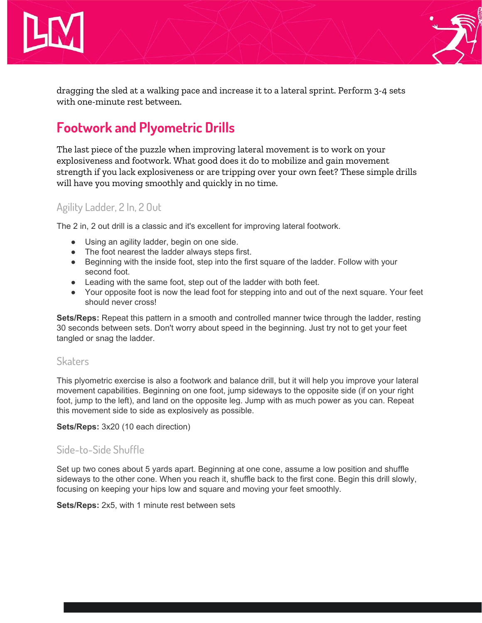



dragging the sled at a walking pace and increase it to a lateral sprint. Perform 3-4 sets with one-minute rest between.

# **Footwork and Plyometric Drills**

The last piece of the puzzle when improving lateral movement is to work on your explosiveness and footwork. What good does it do to mobilize and gain movement strength if you lack explosiveness or are tripping over your own feet? These simple drills will have you moving smoothly and quickly in no time.

#### Agility Ladder, 2 In, 2 Out

The 2 in, 2 out drill is a classic and it's excellent for improving lateral footwork.

- Using an agility ladder, begin on one side.
- The foot nearest the ladder always steps first.
- Beginning with the inside foot, step into the first square of the ladder. Follow with your second foot.
- Leading with the same foot, step out of the ladder with both feet.
- Your opposite foot is now the lead foot for stepping into and out of the next square. Your feet should never cross!

**Sets/Reps:** Repeat this pattern in a smooth and controlled manner twice through the ladder, resting 30 seconds between sets. Don't worry about speed in the beginning. Just try not to get your feet tangled or snag the ladder.

#### **Skaters**

This plyometric exercise is also a footwork and balance drill, but it will help you improve your lateral movement capabilities. Beginning on one foot, jump sideways to the opposite side (if on your right foot, jump to the left), and land on the opposite leg. Jump with as much power as you can. Repeat this movement side to side as explosively as possible.

**Sets/Reps:** 3x20 (10 each direction)

#### Side-to-Side Shuffle

Set up two cones about 5 yards apart. Beginning at one cone, assume a low position and shuffle sideways to the other cone. When you reach it, shuffle back to the first cone. Begin this drill slowly, focusing on keeping your hips low and square and moving your feet smoothly.

**Sets/Reps:** 2x5, with 1 minute rest between sets